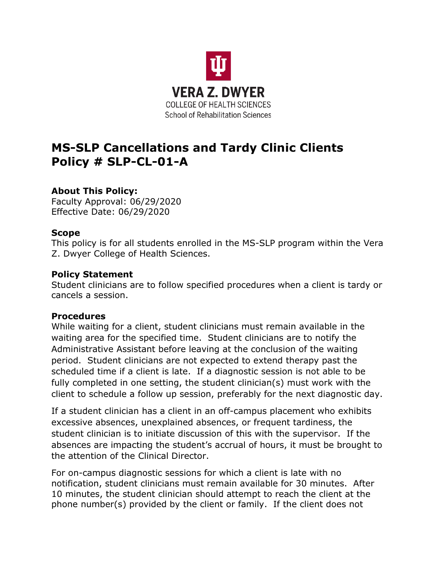

# **MS-SLP Cancellations and Tardy Clinic Clients Policy # SLP-CL-01-A**

## **About This Policy:**

Faculty Approval: 06/29/2020 Effective Date: 06/29/2020

## **Scope**

This policy is for all students enrolled in the MS-SLP program within the Vera Z. Dwyer College of Health Sciences.

### **Policy Statement**

Student clinicians are to follow specified procedures when a client is tardy or cancels a session.

### **Procedures**

While waiting for a client, student clinicians must remain available in the waiting area for the specified time. Student clinicians are to notify the Administrative Assistant before leaving at the conclusion of the waiting period. Student clinicians are not expected to extend therapy past the scheduled time if a client is late. If a diagnostic session is not able to be fully completed in one setting, the student clinician(s) must work with the client to schedule a follow up session, preferably for the next diagnostic day.

If a student clinician has a client in an off-campus placement who exhibits excessive absences, unexplained absences, or frequent tardiness, the student clinician is to initiate discussion of this with the supervisor. If the absences are impacting the student's accrual of hours, it must be brought to the attention of the Clinical Director.

For on-campus diagnostic sessions for which a client is late with no notification, student clinicians must remain available for 30 minutes. After 10 minutes, the student clinician should attempt to reach the client at the phone number(s) provided by the client or family. If the client does not